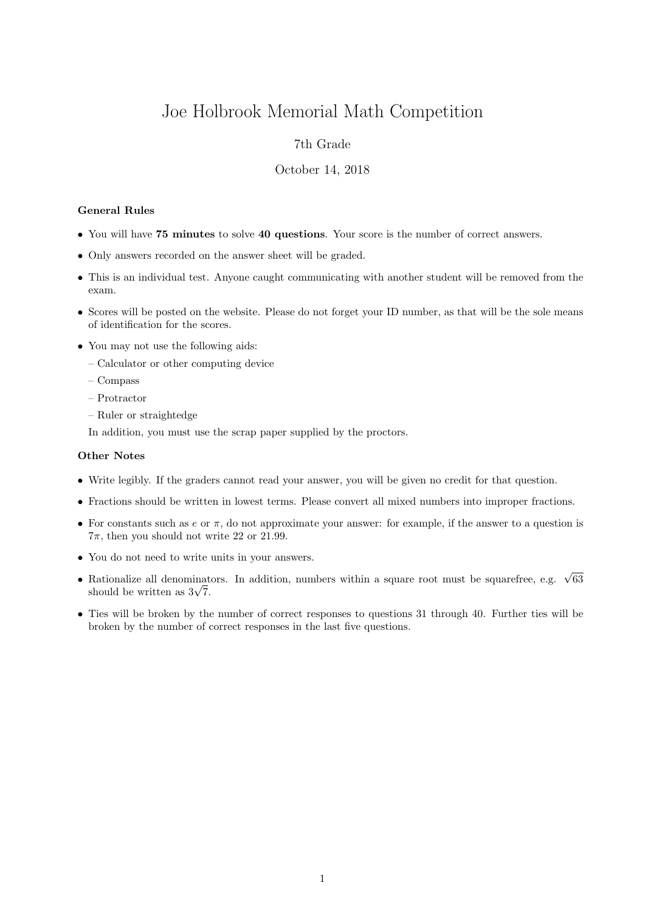# Joe Holbrook Memorial Math Competition

## 7th Grade

### October 14, 2018

#### General Rules

- You will have 75 minutes to solve 40 questions. Your score is the number of correct answers.
- Only answers recorded on the answer sheet will be graded.
- This is an individual test. Anyone caught communicating with another student will be removed from the exam.
- Scores will be posted on the website. Please do not forget your ID number, as that will be the sole means of identification for the scores.
- You may not use the following aids:
	- Calculator or other computing device
	- Compass
	- Protractor
	- Ruler or straightedge

In addition, you must use the scrap paper supplied by the proctors.

#### Other Notes

- Write legibly. If the graders cannot read your answer, you will be given no credit for that question.
- Fractions should be written in lowest terms. Please convert all mixed numbers into improper fractions.
- For constants such as  $e$  or  $\pi$ , do not approximate your answer: for example, if the answer to a question is  $7\pi$ , then you should not write 22 or 21.99.
- You do not need to write units in your answers.
- Rationalize all denominators. In addition, numbers within a square root must be squarefree, e.g.  $\sqrt{63}$  $\kappa$ ationalize all denominat<br>should be written as  $3\sqrt{7}$ .
- Ties will be broken by the number of correct responses to questions 31 through 40. Further ties will be broken by the number of correct responses in the last five questions.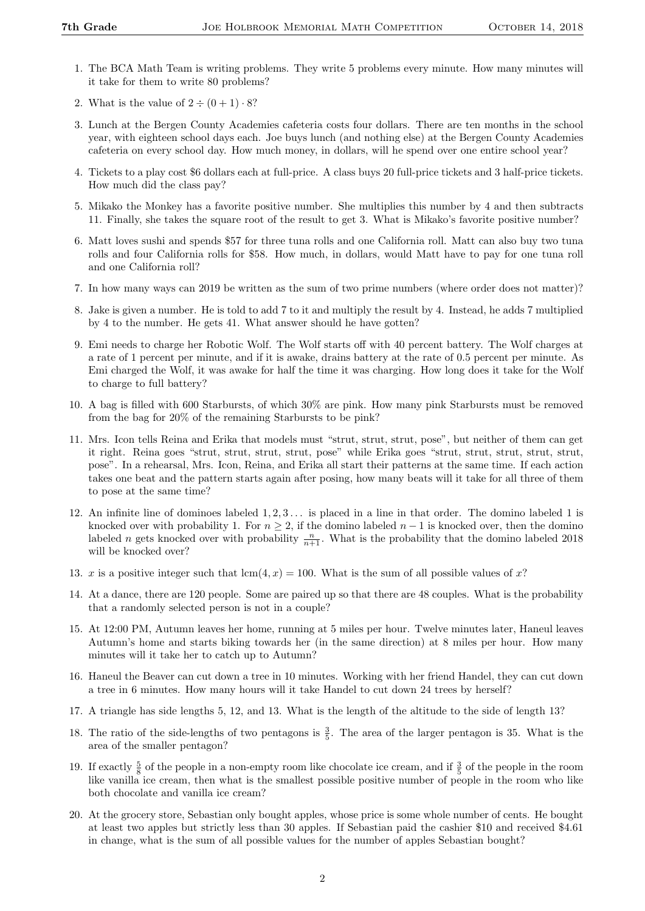- 1. The BCA Math Team is writing problems. They write 5 problems every minute. How many minutes will it take for them to write 80 problems?
- 2. What is the value of  $2 \div (0 + 1) \cdot 8$ ?
- 3. Lunch at the Bergen County Academies cafeteria costs four dollars. There are ten months in the school year, with eighteen school days each. Joe buys lunch (and nothing else) at the Bergen County Academies cafeteria on every school day. How much money, in dollars, will he spend over one entire school year?
- 4. Tickets to a play cost \$6 dollars each at full-price. A class buys 20 full-price tickets and 3 half-price tickets. How much did the class pay?
- 5. Mikako the Monkey has a favorite positive number. She multiplies this number by 4 and then subtracts 11. Finally, she takes the square root of the result to get 3. What is Mikako's favorite positive number?
- 6. Matt loves sushi and spends \$57 for three tuna rolls and one California roll. Matt can also buy two tuna rolls and four California rolls for \$58. How much, in dollars, would Matt have to pay for one tuna roll and one California roll?
- 7. In how many ways can 2019 be written as the sum of two prime numbers (where order does not matter)?
- 8. Jake is given a number. He is told to add 7 to it and multiply the result by 4. Instead, he adds 7 multiplied by 4 to the number. He gets 41. What answer should he have gotten?
- 9. Emi needs to charge her Robotic Wolf. The Wolf starts off with 40 percent battery. The Wolf charges at a rate of 1 percent per minute, and if it is awake, drains battery at the rate of 0.5 percent per minute. As Emi charged the Wolf, it was awake for half the time it was charging. How long does it take for the Wolf to charge to full battery?
- 10. A bag is filled with 600 Starbursts, of which 30% are pink. How many pink Starbursts must be removed from the bag for 20% of the remaining Starbursts to be pink?
- 11. Mrs. Icon tells Reina and Erika that models must "strut, strut, strut, pose", but neither of them can get it right. Reina goes "strut, strut, strut, strut, pose" while Erika goes "strut, strut, strut, strut, strut, pose". In a rehearsal, Mrs. Icon, Reina, and Erika all start their patterns at the same time. If each action takes one beat and the pattern starts again after posing, how many beats will it take for all three of them to pose at the same time?
- 12. An infinite line of dominoes labeled  $1, 2, 3, \ldots$  is placed in a line in that order. The domino labeled 1 is knocked over with probability 1. For  $n \geq 2$ , if the domino labeled  $n-1$  is knocked over, then the domino labeled *n* gets knocked over with probability  $\frac{n}{n+1}$ . What is the probability that the domino labeled 2018 will be knocked over?
- 13. x is a positive integer such that  $lcm(4, x) = 100$ . What is the sum of all possible values of x?
- 14. At a dance, there are 120 people. Some are paired up so that there are 48 couples. What is the probability that a randomly selected person is not in a couple?
- 15. At 12:00 PM, Autumn leaves her home, running at 5 miles per hour. Twelve minutes later, Haneul leaves Autumn's home and starts biking towards her (in the same direction) at 8 miles per hour. How many minutes will it take her to catch up to Autumn?
- 16. Haneul the Beaver can cut down a tree in 10 minutes. Working with her friend Handel, they can cut down a tree in 6 minutes. How many hours will it take Handel to cut down 24 trees by herself?
- 17. A triangle has side lengths 5, 12, and 13. What is the length of the altitude to the side of length 13?
- 18. The ratio of the side-lengths of two pentagons is  $\frac{3}{5}$ . The area of the larger pentagon is 35. What is the area of the smaller pentagon?
- 19. If exactly  $\frac{5}{8}$  of the people in a non-empty room like chocolate ice cream, and if  $\frac{3}{5}$  of the people in the room like vanilla ice cream, then what is the smallest possible positive number of people in the room who like both chocolate and vanilla ice cream?
- 20. At the grocery store, Sebastian only bought apples, whose price is some whole number of cents. He bought at least two apples but strictly less than 30 apples. If Sebastian paid the cashier \$10 and received \$4.61 in change, what is the sum of all possible values for the number of apples Sebastian bought?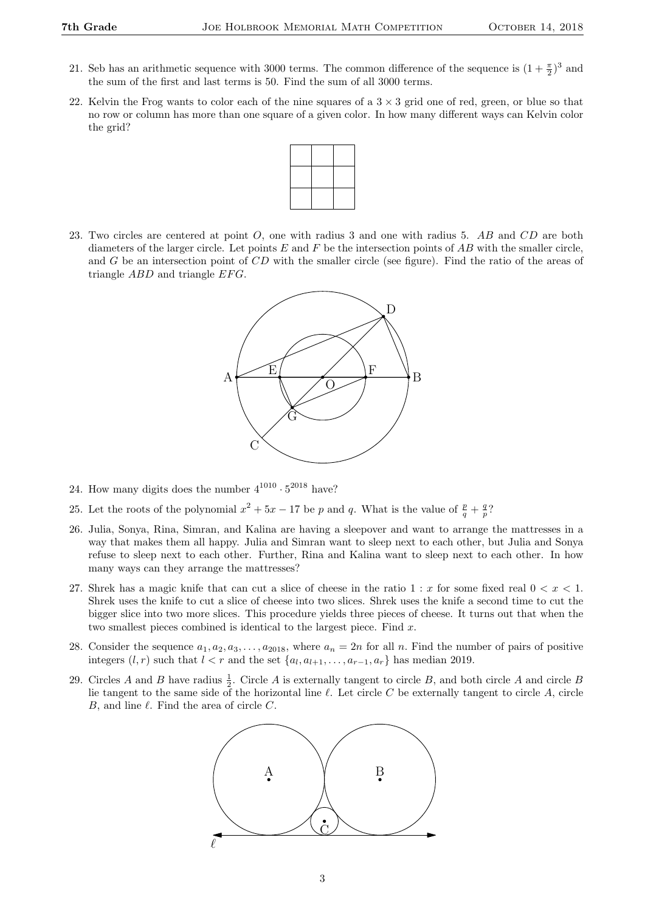- 21. Seb has an arithmetic sequence with 3000 terms. The common difference of the sequence is  $(1+\frac{\pi}{2})^3$  and the sum of the first and last terms is 50. Find the sum of all 3000 terms.
- 22. Kelvin the Frog wants to color each of the nine squares of a  $3 \times 3$  grid one of red, green, or blue so that no row or column has more than one square of a given color. In how many different ways can Kelvin color the grid?



23. Two circles are centered at point O, one with radius 3 and one with radius 5. AB and CD are both diameters of the larger circle. Let points  $E$  and  $F$  be the intersection points of  $AB$  with the smaller circle, and G be an intersection point of CD with the smaller circle (see figure). Find the ratio of the areas of triangle  $ABD$  and triangle  $EFG$ .



- 24. How many digits does the number  $4^{1010} \cdot 5^{2018}$  have?
- 25. Let the roots of the polynomial  $x^2 + 5x 17$  be p and q. What is the value of  $\frac{p}{q} + \frac{q}{p}$ ?
- 26. Julia, Sonya, Rina, Simran, and Kalina are having a sleepover and want to arrange the mattresses in a way that makes them all happy. Julia and Simran want to sleep next to each other, but Julia and Sonya refuse to sleep next to each other. Further, Rina and Kalina want to sleep next to each other. In how many ways can they arrange the mattresses?
- 27. Shrek has a magic knife that can cut a slice of cheese in the ratio 1 : x for some fixed real  $0 < x < 1$ . Shrek uses the knife to cut a slice of cheese into two slices. Shrek uses the knife a second time to cut the bigger slice into two more slices. This procedure yields three pieces of cheese. It turns out that when the two smallest pieces combined is identical to the largest piece. Find  $x$ .
- 28. Consider the sequence  $a_1, a_2, a_3, \ldots, a_{2018}$ , where  $a_n = 2n$  for all n. Find the number of pairs of positive integers  $(l, r)$  such that  $l < r$  and the set  $\{a_l, a_{l+1}, \ldots, a_{r-1}, a_r\}$  has median 2019.
- 29. Circles A and B have radius  $\frac{1}{2}$ . Circle A is externally tangent to circle B, and both circle A and circle B lie tangent to the same side of the horizontal line  $\ell$ . Let circle C be externally tangent to circle A, circle B, and line  $\ell$ . Find the area of circle C.